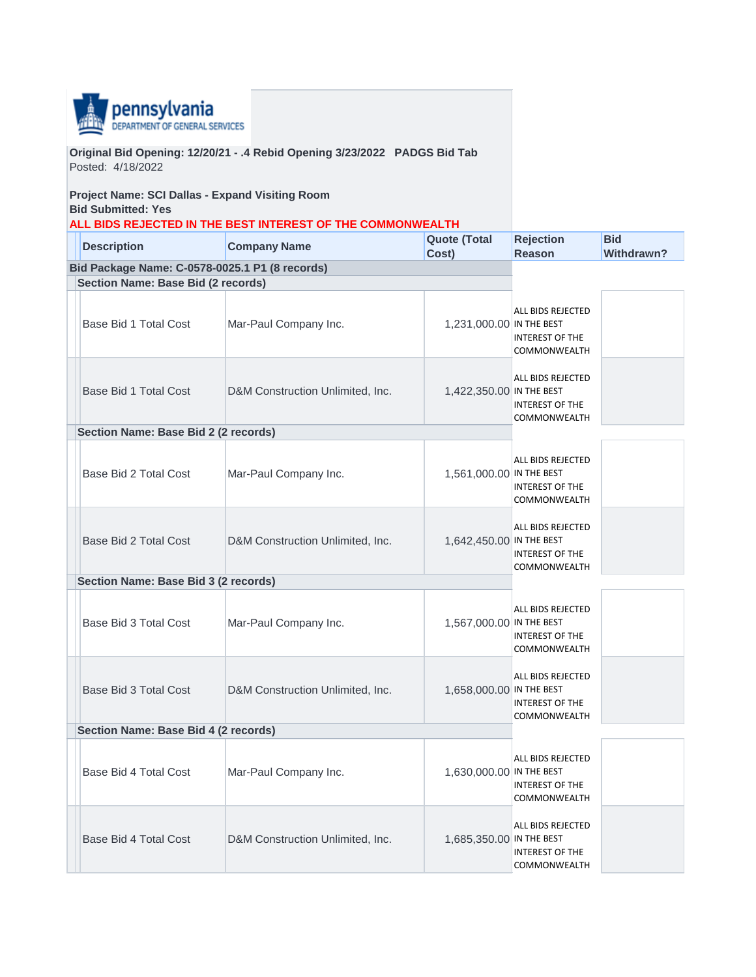

**Original Bid Opening: 12/20/21 - .4 Rebid Opening 3/23/2022 PADGS Bid Tab** Posted: 4/18/2022

## **Project Name: SCI Dallas - Expand Visiting Room Bid Submitted: Yes**

## **ALL BIDS REJECTED IN THE BEST INTEREST OF THE COMMONWEALTH**

| <b>Description</b>                             | <b>Company Name</b>              | <b>Quote (Total</b><br>Cost) | <b>Rejection</b><br><b>Reason</b>                           | <b>Bid</b><br>Withdrawn? |
|------------------------------------------------|----------------------------------|------------------------------|-------------------------------------------------------------|--------------------------|
| Bid Package Name: C-0578-0025.1 P1 (8 records) |                                  |                              |                                                             |                          |
| Section Name: Base Bid (2 records)             |                                  |                              |                                                             |                          |
| Base Bid 1 Total Cost                          | Mar-Paul Company Inc.            | 1,231,000.00 IN THE BEST     | ALL BIDS REJECTED<br>INTEREST OF THE<br><b>COMMONWEALTH</b> |                          |
| Base Bid 1 Total Cost                          | D&M Construction Unlimited, Inc. | 1,422,350.00 IN THE BEST     | ALL BIDS REJECTED<br><b>INTEREST OF THE</b><br>COMMONWEALTH |                          |
| Section Name: Base Bid 2 (2 records)           |                                  |                              |                                                             |                          |
| Base Bid 2 Total Cost                          | Mar-Paul Company Inc.            | 1,561,000.00 IN THE BEST     | ALL BIDS REJECTED<br>INTEREST OF THE<br>COMMONWEALTH        |                          |
| Base Bid 2 Total Cost                          | D&M Construction Unlimited, Inc. | 1,642,450.00 IN THE BEST     | ALL BIDS REJECTED<br>INTEREST OF THE<br>COMMONWEALTH        |                          |
| Section Name: Base Bid 3 (2 records)           |                                  |                              |                                                             |                          |
| Base Bid 3 Total Cost                          | Mar-Paul Company Inc.            | 1,567,000.00 IN THE BEST     | ALL BIDS REJECTED<br><b>INTEREST OF THE</b><br>COMMONWEALTH |                          |
| Base Bid 3 Total Cost                          | D&M Construction Unlimited, Inc. | 1,658,000.00 IN THE BEST     | ALL BIDS REJECTED<br><b>INTEREST OF THE</b><br>COMMONWEALTH |                          |
| Section Name: Base Bid 4 (2 records)           |                                  |                              |                                                             |                          |
| Base Bid 4 Total Cost                          | Mar-Paul Company Inc.            | 1,630,000.00 IN THE BEST     | ALL BIDS REJECTED<br>INTEREST OF THE<br><b>COMMONWEALTH</b> |                          |
| Base Bid 4 Total Cost                          | D&M Construction Unlimited, Inc. | 1,685,350.00 IN THE BEST     | ALL BIDS REJECTED<br><b>INTEREST OF THE</b><br>COMMONWEALTH |                          |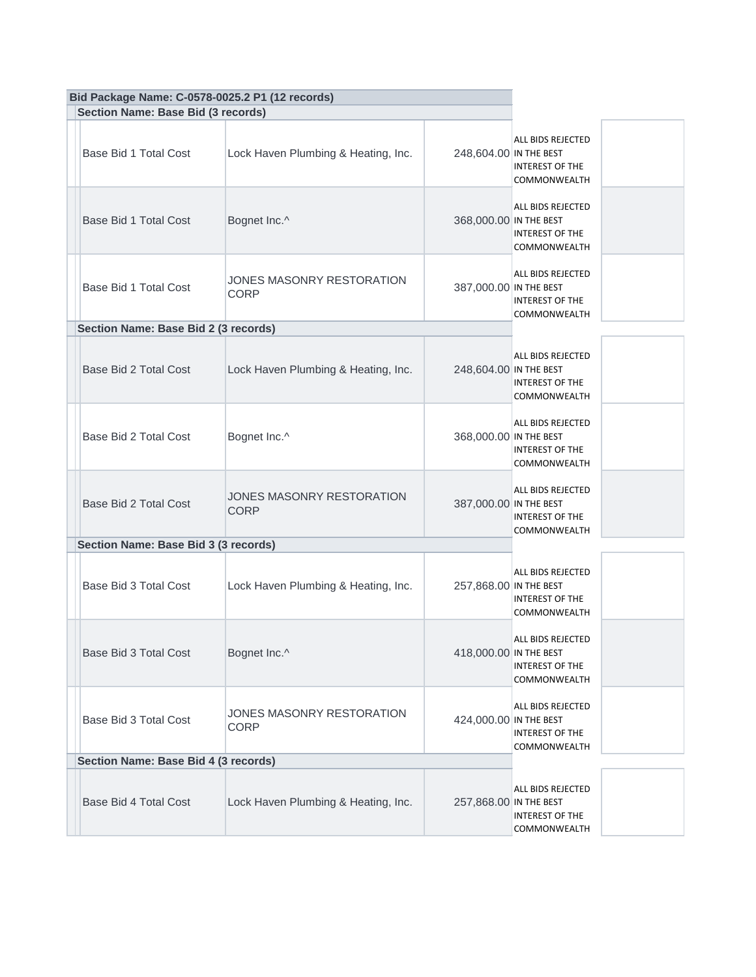| Bid Package Name: C-0578-0025.2 P1 (12 records) |                                      |                                                 |                        |                                                                    |
|-------------------------------------------------|--------------------------------------|-------------------------------------------------|------------------------|--------------------------------------------------------------------|
|                                                 | Section Name: Base Bid (3 records)   |                                                 |                        |                                                                    |
|                                                 | Base Bid 1 Total Cost                | Lock Haven Plumbing & Heating, Inc.             | 248,604.00 IN THE BEST | ALL BIDS REJECTED<br><b>INTEREST OF THE</b><br>COMMONWEALTH        |
|                                                 | Base Bid 1 Total Cost                | Bognet Inc.^                                    | 368,000.00 IN THE BEST | ALL BIDS REJECTED<br>INTEREST OF THE<br>COMMONWEALTH               |
|                                                 | Base Bid 1 Total Cost                | <b>JONES MASONRY RESTORATION</b><br><b>CORP</b> | 387,000.00 IN THE BEST | ALL BIDS REJECTED<br>INTEREST OF THE<br>COMMONWEALTH               |
|                                                 | Section Name: Base Bid 2 (3 records) |                                                 |                        |                                                                    |
|                                                 | Base Bid 2 Total Cost                | Lock Haven Plumbing & Heating, Inc.             | 248,604.00 IN THE BEST | ALL BIDS REJECTED<br><b>INTEREST OF THE</b><br><b>COMMONWEALTH</b> |
|                                                 | Base Bid 2 Total Cost                | Bognet Inc.^                                    | 368,000.00 IN THE BEST | ALL BIDS REJECTED<br><b>INTEREST OF THE</b><br>COMMONWEALTH        |
|                                                 | Base Bid 2 Total Cost                | <b>JONES MASONRY RESTORATION</b><br><b>CORP</b> | 387,000.00 IN THE BEST | ALL BIDS REJECTED<br><b>INTEREST OF THE</b><br>COMMONWEALTH        |
|                                                 | Section Name: Base Bid 3 (3 records) |                                                 |                        |                                                                    |
|                                                 | Base Bid 3 Total Cost                | Lock Haven Plumbing & Heating, Inc.             | 257,868.00 IN THE BEST | ALL BIDS REJECTED<br>INTEREST OF THE<br>COMMONWEALTH               |
|                                                 | Base Bid 3 Total Cost                | Bognet Inc.^                                    | 418,000.00 IN THE BEST | ALL BIDS REJECTED<br>INTEREST OF THE<br>COMMONWEALTH               |
|                                                 | Base Bid 3 Total Cost                | JONES MASONRY RESTORATION<br>CORP               | 424,000.00 IN THE BEST | ALL BIDS REJECTED<br>INTEREST OF THE<br>COMMONWEALTH               |
|                                                 | Section Name: Base Bid 4 (3 records) |                                                 |                        |                                                                    |
|                                                 | Base Bid 4 Total Cost                | Lock Haven Plumbing & Heating, Inc.             | 257,868.00 IN THE BEST | ALL BIDS REJECTED<br>INTEREST OF THE<br>COMMONWEALTH               |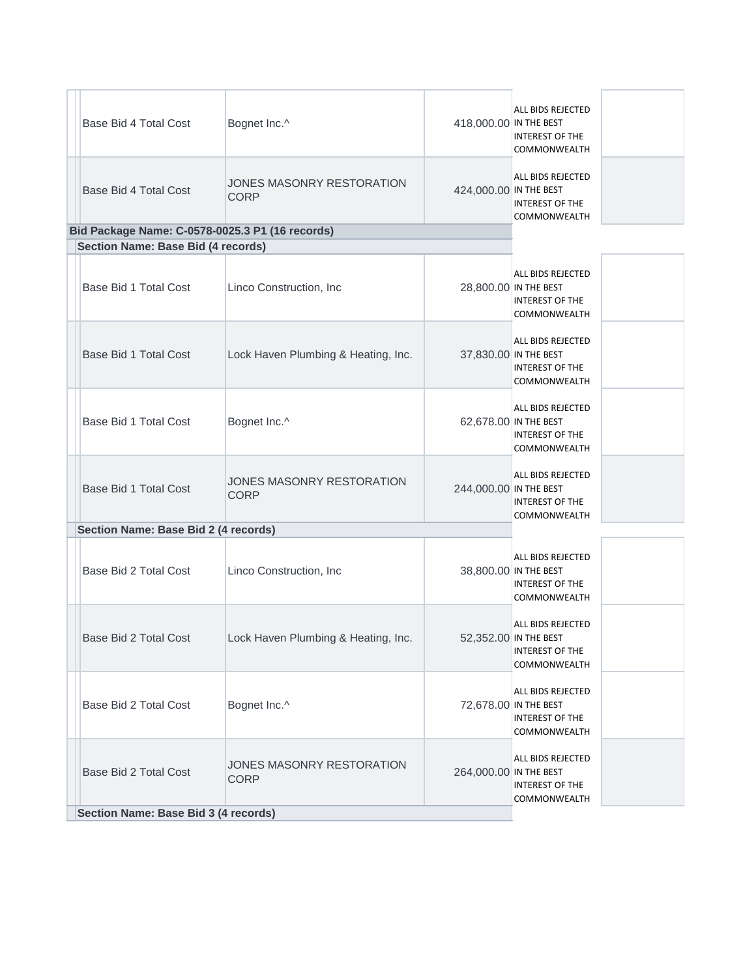| Base Bid 4 Total Cost | Bognet Inc.^                             | 418,000.00 IN THE BEST | ALL BIDS REJECTED<br><b>INTEREST OF THE</b><br>COMMONWEALTH |  |
|-----------------------|------------------------------------------|------------------------|-------------------------------------------------------------|--|
| Base Bid 4 Total Cost | JONES MASONRY RESTORATION<br><b>CORP</b> | 424,000.00 IN THE BEST | ALL BIDS REJECTED<br><b>INTEREST OF THE</b><br>COMMONWEALTH |  |

**Bid Package Name: C-0578-0025.3 P1 (16 records) Section Name: Base Bid (4 records)**

| Base Bid 1 Total Cost                | Linco Construction, Inc                  | 28,800.00 IN THE BEST  | ALL BIDS REJECTED<br><b>INTEREST OF THE</b><br>COMMONWEALTH        |
|--------------------------------------|------------------------------------------|------------------------|--------------------------------------------------------------------|
| Base Bid 1 Total Cost                | Lock Haven Plumbing & Heating, Inc.      | 37,830.00 IN THE BEST  | ALL BIDS REJECTED<br>INTEREST OF THE<br>COMMONWEALTH               |
| Base Bid 1 Total Cost                | Bognet Inc.^                             | 62,678.00 IN THE BEST  | ALL BIDS REJECTED<br><b>INTEREST OF THE</b><br>COMMONWEALTH        |
| Base Bid 1 Total Cost                | JONES MASONRY RESTORATION<br><b>CORP</b> | 244,000.00 IN THE BEST | ALL BIDS REJECTED<br><b>INTEREST OF THE</b><br>COMMONWEALTH        |
| Section Name: Base Bid 2 (4 records) |                                          |                        |                                                                    |
| Base Bid 2 Total Cost                | Linco Construction, Inc                  | 38,800.00 IN THE BEST  | ALL BIDS REJECTED<br><b>INTEREST OF THE</b><br>COMMONWEALTH        |
| Base Bid 2 Total Cost                | Lock Haven Plumbing & Heating, Inc.      | 52,352.00 IN THE BEST  | ALL BIDS REJECTED<br>INTEREST OF THE<br>COMMONWEALTH               |
| Base Bid 2 Total Cost                | Bognet Inc.^                             | 72,678.00 IN THE BEST  | ALL BIDS REJECTED<br><b>INTEREST OF THE</b><br><b>COMMONWEALTH</b> |
| Base Bid 2 Total Cost                | JONES MASONRY RESTORATION<br><b>CORP</b> | 264,000.00 IN THE BEST | ALL BIDS REJECTED<br><b>INTEREST OF THE</b><br>COMMONWEALTH        |
| Section Name: Base Bid 3 (4 records) |                                          |                        |                                                                    |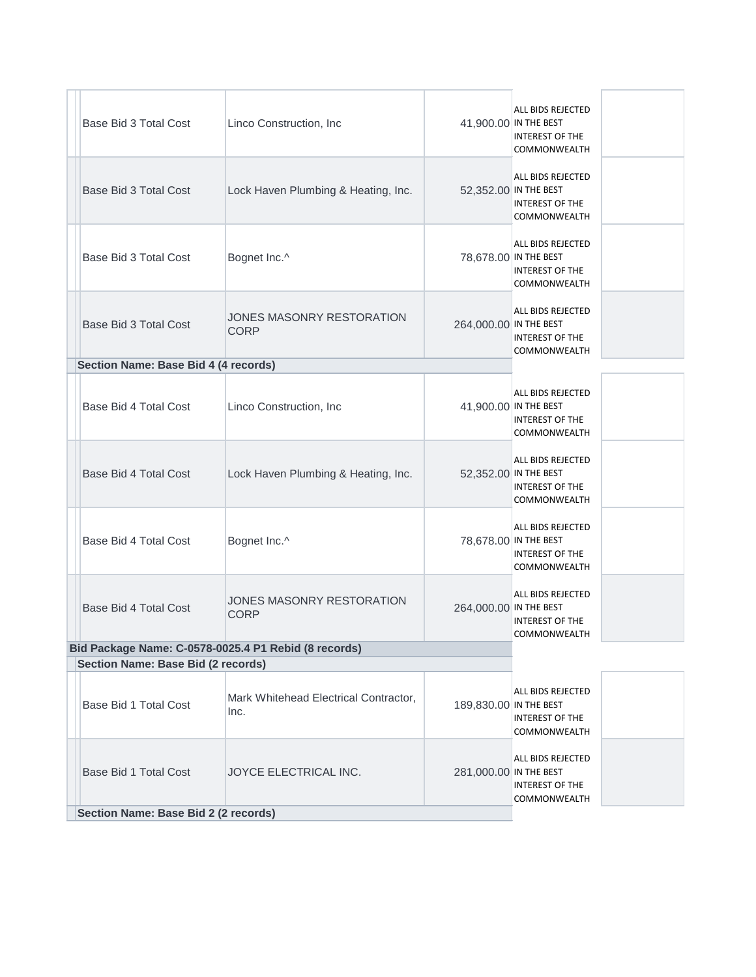| Base Bid 3 Total Cost                                | Linco Construction, Inc                         |                        | ALL BIDS REJECTED<br>41,900.00 IN THE BEST<br><b>INTEREST OF THE</b><br>COMMONWEALTH        |
|------------------------------------------------------|-------------------------------------------------|------------------------|---------------------------------------------------------------------------------------------|
| Base Bid 3 Total Cost                                | Lock Haven Plumbing & Heating, Inc.             |                        | ALL BIDS REJECTED<br>52,352.00 IN THE BEST<br><b>INTEREST OF THE</b><br>COMMONWEALTH        |
| Base Bid 3 Total Cost                                | Bognet Inc.^                                    |                        | ALL BIDS REJECTED<br>78,678.00 IN THE BEST<br><b>INTEREST OF THE</b><br>COMMONWEALTH        |
| Base Bid 3 Total Cost                                | <b>JONES MASONRY RESTORATION</b><br><b>CORP</b> | 264,000.00 IN THE BEST | ALL BIDS REJECTED<br><b>INTEREST OF THE</b><br>COMMONWEALTH                                 |
| Section Name: Base Bid 4 (4 records)                 |                                                 |                        |                                                                                             |
| Base Bid 4 Total Cost                                | Linco Construction, Inc                         | 41,900.00 IN THE BEST  | ALL BIDS REJECTED<br><b>INTEREST OF THE</b><br>COMMONWEALTH                                 |
| Base Bid 4 Total Cost                                | Lock Haven Plumbing & Heating, Inc.             | 52,352.00 IN THE BEST  | ALL BIDS REJECTED<br><b>INTEREST OF THE</b><br>COMMONWEALTH                                 |
| Base Bid 4 Total Cost                                | Bognet Inc.^                                    |                        | ALL BIDS REJECTED<br>78,678.00 IN THE BEST<br><b>INTEREST OF THE</b><br><b>COMMONWEALTH</b> |
| Base Bid 4 Total Cost                                | <b>JONES MASONRY RESTORATION</b><br><b>CORP</b> | 264,000.00 IN THE BEST | ALL BIDS REJECTED<br><b>INTEREST OF THE</b><br>COMMONWEALTH                                 |
| Bid Package Name: C-0578-0025.4 P1 Rebid (8 records) |                                                 |                        |                                                                                             |
| Section Name: Base Bid (2 records)                   |                                                 |                        |                                                                                             |
| Base Bid 1 Total Cost                                | Mark Whitehead Electrical Contractor,<br>Inc.   | 189,830.00 IN THE BEST | ALL BIDS REJECTED<br><b>INTEREST OF THE</b><br>COMMONWEALTH                                 |
| Base Bid 1 Total Cost                                | JOYCE ELECTRICAL INC.                           | 281,000.00 IN THE BEST | ALL BIDS REJECTED<br>INTEREST OF THE<br>COMMONWEALTH                                        |
| Section Name: Base Bid 2 (2 records)                 |                                                 |                        |                                                                                             |